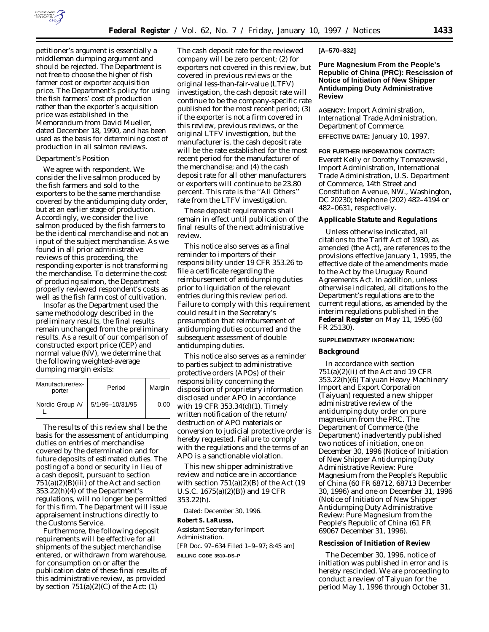

petitioner's argument is essentially a middleman dumping argument and should be rejected. The Department is not free to choose the higher of fish farmer cost or exporter acquisition price. The Department's policy for using the fish farmers' cost of production rather than the exporter's acquisition price was established in the Memorandum from David Mueller, dated December 18, 1990, and has been used as the basis for determining cost of production in all salmon reviews.

### *Department's Position*

We agree with respondent. We consider the live salmon produced by the fish farmers and sold to the exporters to be the same merchandise covered by the antidumping duty order, but at an earlier stage of production. Accordingly, we consider the live salmon produced by the fish farmers to be the identical merchandise and not an input of the subject merchandise. As we found in all prior administrative reviews of this proceeding, the responding exporter is not transforming the merchandise. To determine the cost of producing salmon, the Department properly reviewed respondent's costs as well as the fish farm cost of cultivation.

Insofar as the Department used the same methodology described in the preliminary results, the final results remain unchanged from the preliminary results. As a result of our comparison of constructed export price (CEP) and normal value (NV), we determine that the following weighted-average dumping margin exists:

| Manufacturer/ex-<br>porter | Period          | Margin |
|----------------------------|-----------------|--------|
| Nordic Group A/            | 5/1/95-10/31/95 | 0.00   |

The results of this review shall be the basis for the assessment of antidumping duties on entries of merchandise covered by the determination and for future deposits of estimated duties. The posting of a bond or security in lieu of a cash deposit, pursuant to section  $751(a)(2)(B)(iii)$  of the Act and section 353.22(h)(4) of the Department's regulations, will no longer be permitted for this firm. The Department will issue appraisement instructions directly to the Customs Service.

Furthermore, the following deposit requirements will be effective for all shipments of the subject merchandise entered, or withdrawn from warehouse, for consumption on or after the publication date of these final results of this administrative review, as provided by section  $751(a)(2)(C)$  of the Act: (1)

The cash deposit rate for the reviewed company will be zero percent; (2) for exporters not covered in this review, but covered in previous reviews or the original less-than-fair-value (LTFV) investigation, the cash deposit rate will continue to be the company-specific rate published for the most recent period; (3) if the exporter is not a firm covered in this review, previous reviews, or the original LTFV investigation, but the manufacturer is, the cash deposit rate will be the rate established for the most recent period for the manufacturer of the merchandise; and (4) the cash deposit rate for all other manufacturers or exporters will continue to be 23.80 percent. This rate is the ''All Others'' rate from the LTFV investigation.

These deposit requirements shall remain in effect until publication of the final results of the next administrative review.

This notice also serves as a final reminder to importers of their responsibility under 19 CFR 353.26 to file a certificate regarding the reimbursement of antidumping duties prior to liquidation of the relevant entries during this review period. Failure to comply with this requirement could result in the Secretary's presumption that reimbursement of antidumping duties occurred and the subsequent assessment of double antidumping duties.

This notice also serves as a reminder to parties subject to administrative protective orders (APOs) of their responsibility concerning the disposition of proprietary information disclosed under APO in accordance with 19 CFR 353.34(d)(1). Timely written notification of the return/ destruction of APO materials or conversion to judicial protective order is hereby requested. Failure to comply with the regulations and the terms of an APO is a sanctionable violation.

This new shipper administrative review and notice are in accordance with section 751(a)(2)(B) of the Act (19 U.S.C. 1675(a)(2)(B)) and 19 CFR 353.22(h).

Dated: December 30, 1996. **Robert S. LaRussa,**

*Assistant Secretary for Import Administration.* [FR Doc. 97–634 Filed 1–9–97; 8:45 am] **BILLING CODE 3510–DS–P**

### **[A–570–832]**

**Pure Magnesium From the People's Republic of China (PRC): Rescission of Notice of Initiation of New Shipper Antidumping Duty Administrative Review**

**AGENCY:** Import Administration, International Trade Administration, Department of Commerce. **EFFECTIVE DATE:** January 10, 1997.

**FOR FURTHER INFORMATION CONTACT:** Everett Kelly or Dorothy Tomaszewski, Import Administration, International Trade Administration, U.S. Department of Commerce, 14th Street and Constitution Avenue, NW., Washington, DC 20230; telephone (202) 482–4194 or 482–0631, respectively.

#### **Applicable Statute and Regulations**

Unless otherwise indicated, all citations to the Tariff Act of 1930, as amended (the Act), are references to the provisions effective January 1, 1995, the effective date of the amendments made to the Act by the Uruguay Round Agreements Act. In addition, unless otherwise indicated, all citations to the Department's regulations are to the current regulations, as amended by the interim regulations published in the **Federal Register** on May 11, 1995 (60 FR 25130).

# **SUPPLEMENTARY INFORMATION:**

## **Background**

In accordance with section  $751(a)(2)(ii)$  of the Act and 19 CFR 353.22(h)(6) Taiyuan Heavy Machinery Import and Export Corporation (Taiyuan) requested a new shipper administrative review of the antidumping duty order on pure magnesium from the PRC. The Department of Commerce (the Department) inadvertently published two notices of initiation, one on December 30, 1996 (*Notice of Initiation of New Shipper Antidumping Duty Administrative Review: Pure Magnesium from the People's Republic of China* (60 FR 68712, 68713 December 30, 1996) and one on December 31, 1996 (*Notice of Initiation of New Shipper Antidumping Duty Administrative Review: Pure Magnesium from the People's Republic of China* (61 FR 69067 December 31, 1996).

## **Rescission of Initiation of Review**

The December 30, 1996, notice of initiation was published in error and is hereby rescinded. We are proceeding to conduct a review of Taiyuan for the period May 1, 1996 through October 31,